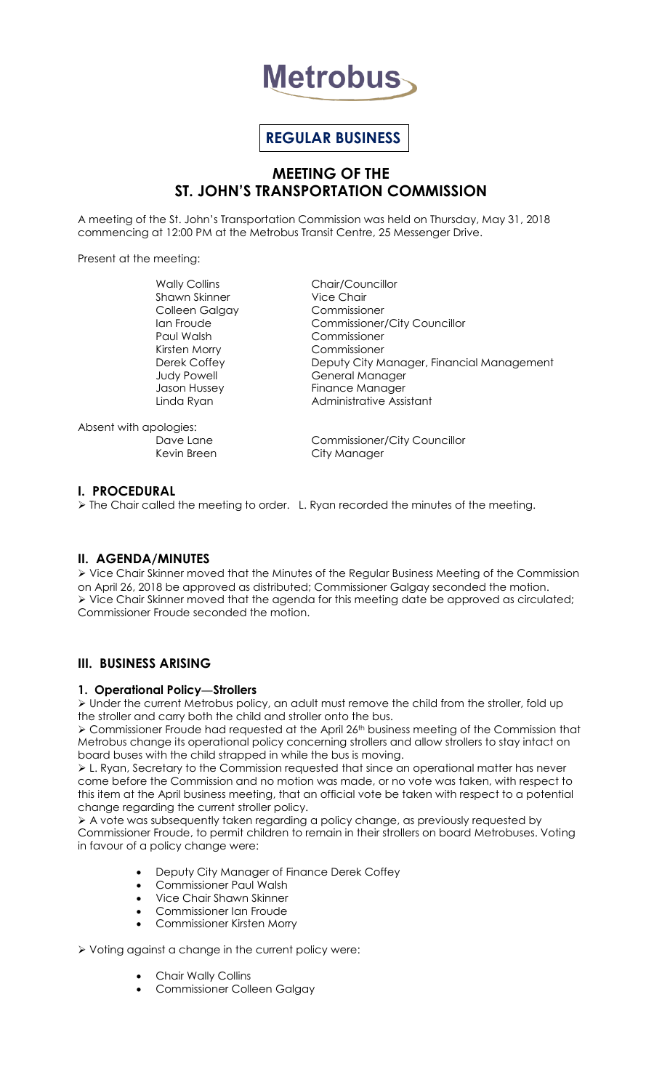

# **REGULAR BUSINESS**

# **MEETING OF THE ST. JOHN'S TRANSPORTATION COMMISSION**

A meeting of the St. John's Transportation Commission was held on Thursday, May 31, 2018 commencing at 12:00 PM at the Metrobus Transit Centre, 25 Messenger Drive.

Present at the meeting:

Wally Collins **Chair/Councillor** Shawn Skinner Vice Chair Colleen Galgay Commissioner Paul Walsh Commissioner Kirsten Morry Commissioner

Ian Froude Commissioner/City Councillor Derek Coffey **Deputy City Manager, Financial Management** Judy Powell **General Manager** Jason Hussey **Finance Manager** Linda Ryan **Administrative Assistant** 

Absent with apologies:

Dave Lane Commissioner/City Councillor Kevin Breen City Manager

# **I. PROCEDURAL**

The Chair called the meeting to order. L. Ryan recorded the minutes of the meeting.

# **II. AGENDA/MINUTES**

 Vice Chair Skinner moved that the Minutes of the Regular Business Meeting of the Commission on April 26, 2018 be approved as distributed; Commissioner Galgay seconded the motion.  $\triangleright$  Vice Chair Skinner moved that the agenda for this meeting date be approved as circulated; Commissioner Froude seconded the motion.

# **III. BUSINESS ARISING**

## **1. Operational Policy—Strollers**

 Under the current Metrobus policy, an adult must remove the child from the stroller, fold up the stroller and carry both the child and stroller onto the bus.

 Commissioner Froude had requested at the April 26th business meeting of the Commission that Metrobus change its operational policy concerning strollers and allow strollers to stay intact on board buses with the child strapped in while the bus is moving.

 L. Ryan, Secretary to the Commission requested that since an operational matter has never come before the Commission and no motion was made, or no vote was taken, with respect to this item at the April business meeting, that an official vote be taken with respect to a potential change regarding the current stroller policy.

 A vote was subsequently taken regarding a policy change, as previously requested by Commissioner Froude, to permit children to remain in their strollers on board Metrobuses. Voting in favour of a policy change were:

- Deputy City Manager of Finance Derek Coffey
- Commissioner Paul Walsh
- Vice Chair Shawn Skinner
- Commissioner Ian Froude
- Commissioner Kirsten Morry

Voting against a change in the current policy were:

- Chair Wally Collins
- Commissioner Colleen Galgay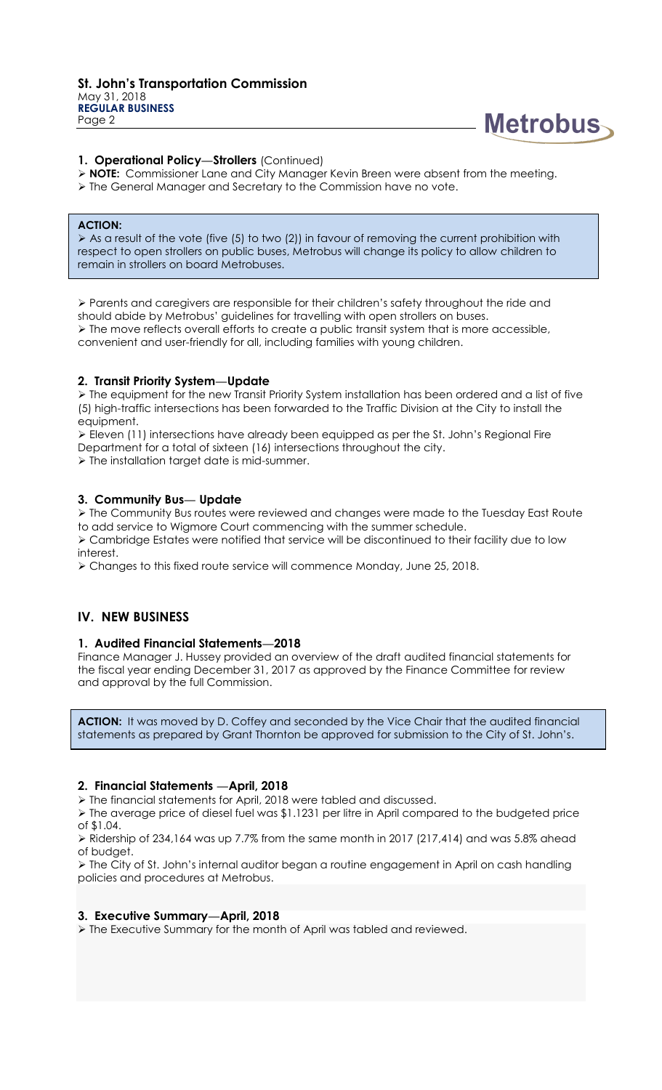

## **1. Operational Policy—Strollers** (Continued)

- **NOTE:** Commissioner Lane and City Manager Kevin Breen were absent from the meeting.
- The General Manager and Secretary to the Commission have no vote.

#### **ACTION:**

As a result of the vote (five (5) to two (2)) in favour of removing the current prohibition with respect to open strollers on public buses, Metrobus will change its policy to allow children to remain in strollers on board Metrobuses.

 Parents and caregivers are responsible for their children's safety throughout the ride and should abide by Metrobus' guidelines for travelling with open strollers on buses.  $\triangleright$  The move reflects overall efforts to create a public transit system that is more accessible, convenient and user-friendly for all, including families with young children.

#### **2. Transit Priority System—Update**

 The equipment for the new Transit Priority System installation has been ordered and a list of five (5) high-traffic intersections has been forwarded to the Traffic Division at the City to install the equipment.

 Eleven (11) intersections have already been equipped as per the St. John's Regional Fire Department for a total of sixteen (16) intersections throughout the city.

The installation target date is mid-summer.

#### **3. Community Bus— Update**

 The Community Bus routes were reviewed and changes were made to the Tuesday East Route to add service to Wigmore Court commencing with the summer schedule.

 Cambridge Estates were notified that service will be discontinued to their facility due to low interest.

Changes to this fixed route service will commence Monday, June 25, 2018.

## **IV. NEW BUSINESS**

#### **1. Audited Financial Statements—2018**

Finance Manager J. Hussey provided an overview of the draft audited financial statements for the fiscal year ending December 31, 2017 as approved by the Finance Committee for review and approval by the full Commission.

ACTION: It was moved by D. Coffey and seconded by the Vice Chair that the audited financial statements as prepared by Grant Thornton be approved for submission to the City of St. John's.

#### **2. Financial Statements —April, 2018**

The financial statements for April, 2018 were tabled and discussed.

 The average price of diesel fuel was \$1.1231 per litre in April compared to the budgeted price of \$1.04.

 $\triangleright$  Ridership of 234,164 was up 7.7% from the same month in 2017 (217,414) and was 5.8% ahead of budget.

 $\triangleright$  The City of St. John's internal auditor began a routine engagement in April on cash handling policies and procedures at Metrobus.

#### **3. Executive Summary—April, 2018**

The Executive Summary for the month of April was tabled and reviewed.